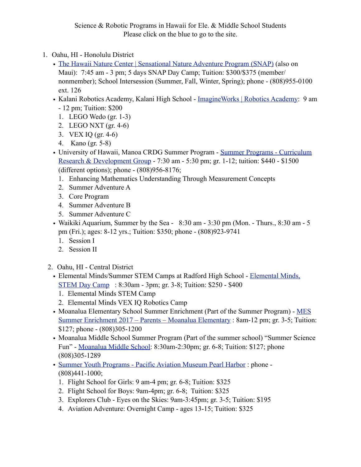Science & Robotic Programs in Hawaii for Ele. & Middle School Students Please click on the blue to go to the site.

- 1. Oahu, HI Honolulu District
	- [The Hawaii Nature Center | Sensational Nature Adventure Program \(SNAP\)](http://hawaiinaturecenter.org/nature-programs/snap/) (also on Maui): 7:45 am - 3 pm; 5 days SNAP Day Camp; Tuition: \$300/\$375 (member/ nonmember); School Intersession (Summer, Fall, Winter, Spring); phone - (808)955-0100 ext. 126
	- Kalani Robotics Academy, Kalani High School [ImagineWorks | Robotics Academy](http://www.imagineworks.org/robotics-academy): 9 am - 12 pm; Tuition: \$200
		- 1. LEGO Wedo (gr. 1-3)
		- 2. LEGO NXT (gr. 4-6)
		- 3. VEX IQ (gr. 4-6)
		- 4. Kano (gr. 5-8)
	- University of Hawaii, Manoa CRDG Summer Program [Summer Programs Curriculum](http://manoa.hawaii.edu/crdg/summer-programs/)  [Research & Development Group](http://manoa.hawaii.edu/crdg/summer-programs/) - 7:30 am - 5:30 pm; gr. 1-12; tuition: \$440 - \$1500 (different options); phone - (808)956-8176;
		- 1. Enhancing Mathematics Understanding Through Measurement Concepts
		- 2. Summer Adventure A
		- 3. Core Program
		- 4. Summer Adventure B
		- 5. Summer Adventure C
	- Waikiki Aquarium, Summer by the Sea 8:30 am 3:30 pm (Mon. Thurs., 8:30 am 5 pm (Fri.); ages: 8-12 yrs.; Tuition: \$350; phone - (808)923-9741
		- 1. Session I
		- 2. Session II
	- 2. Oahu, HI Central District
		- Elemental Minds/Summer STEM Camps at Radford High School [Elemental Minds,](http://ithinkiplayilearn.wixsite.com/elemental/vex-iq-robotics-5-day-camp)  [STEM Day Camp](http://ithinkiplayilearn.wixsite.com/elemental/vex-iq-robotics-5-day-camp) : 8:30am - 3pm; gr. 3-8; Tuition: \$250 - \$400
			- 1. Elemental Minds STEM Camp
			- 2. Elemental Minds VEX IQ Robotics Camp
		- Moanalua Elementary School Summer Enrichment (Part of the Summer Program) MES [Summer Enrichment 2017 – Parents – Moanalua Elementary](http://www.moanaluaelementary.org/apps/pages/index.jsp?uREC_ID=347600&type=d&pREC_ID=1148443) : 8am-12 pm; gr. 3-5; Tuition: \$127; phone - (808)305-1200
		- Moanalua Middle School Summer Program (Part of the summer school) "Summer Science Fun" - [Moanalua Middle School:](http://www.moanaluamiddle.org/apps/news/article/561926) 8:30am-2:30pm; gr. 6-8; Tuition: \$127; phone (808)305-1289
		- [Summer Youth Programs Pacific Aviation Museum Pearl Harbor](http://www.pacificaviationmuseum.org/events/2017-summer-youth-programs/) : phone (808)441-1000;
			- 1. Flight School for Girls: 9 am-4 pm; gr. 6-8; Tuition: \$325
			- 2. Flight School for Boys: 9am-4pm; gr. 6-8; Tuition: \$325
			- 3. Explorers Club Eyes on the Skies: 9am-3:45pm; gr. 3-5; Tuition: \$195
			- 4. Aviation Adventure: Overnight Camp ages 13-15; Tuition: \$325